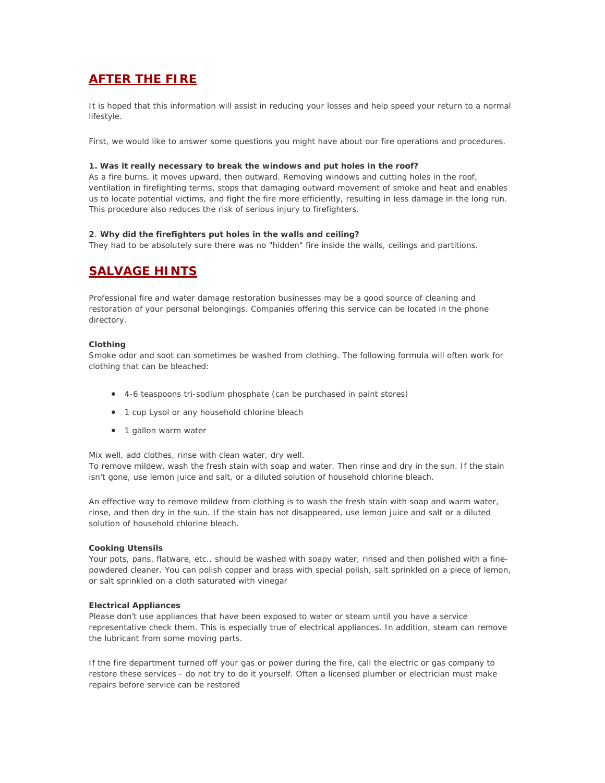# **AFTER THE FIRE**

It is hoped that this information will assist in reducing your losses and help speed your return to a normal lifestyle.

First, we would like to answer some questions you might have about our fire operations and procedures.

# **1. Was it really necessary to break the windows and put holes in the roof?**

As a fire burns, it moves upward, then outward. Removing windows and cutting holes in the roof, ventilation in firefighting terms, stops that damaging outward movement of smoke and heat and enables us to locate potential victims, and fight the fire more efficiently, resulting in less damage in the long run. This procedure also reduces the risk of serious injury to firefighters.

# **2**. **Why did the firefighters put holes in the walls and ceiling?**

They had to be absolutely sure there was no "hidden" fire inside the walls, ceilings and partitions.

# **SALVAGE HINTS**

Professional fire and water damage restoration businesses may be a good source of cleaning and restoration of your personal belongings. Companies offering this service can be located in the phone directory.

### **Clothing**

Smoke odor and soot can sometimes be washed from clothing. The following formula will often work for clothing that can be bleached:

- 4-6 teaspoons tri-sodium phosphate (can be purchased in paint stores)
- 1 cup Lysol or any household chlorine bleach
- 1 gallon warm water

Mix well, add clothes, rinse with clean water, dry well.

To remove mildew, wash the fresh stain with soap and water. Then rinse and dry in the sun. If the stain isn't gone, use lemon juice and salt, or a diluted solution of household chlorine bleach.

An effective way to remove mildew from clothing is to wash the fresh stain with soap and warm water, rinse, and then dry in the sun. If the stain has not disappeared, use lemon juice and salt or a diluted solution of household chlorine bleach.

# **Cooking Utensils**

Your pots, pans, flatware, etc., should be washed with soapy water, rinsed and then polished with a finepowdered cleaner. You can polish copper and brass with special polish, salt sprinkled on a piece of lemon, or salt sprinkled on a cloth saturated with vinegar

### **Electrical Appliances**

Please don't use appliances that have been exposed to water or steam until you have a service representative check them. This is especially true of electrical appliances. In addition, steam can remove the lubricant from some moving parts.

If the fire department turned off your gas or power during the fire, call the electric or gas company to restore these services - do not try to do it yourself. Often a licensed plumber or electrician must make repairs before service can be restored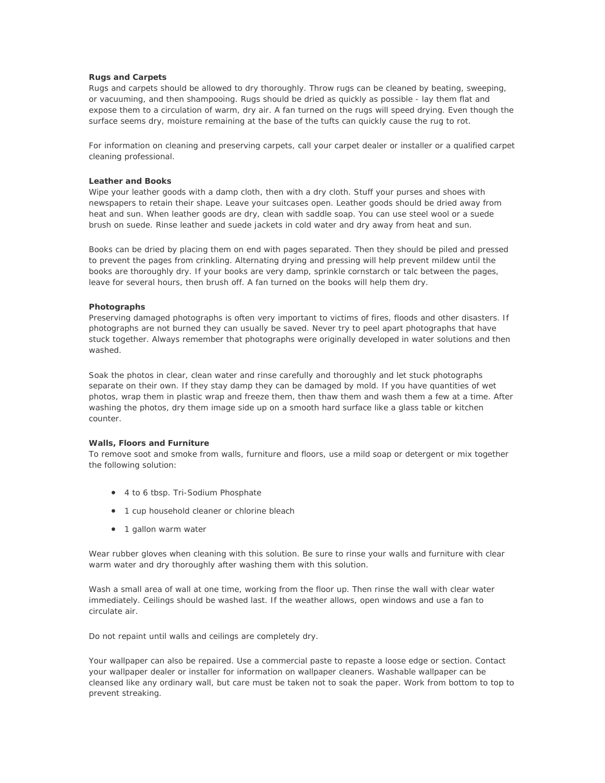### **Rugs and Carpets**

Rugs and carpets should be allowed to dry thoroughly. Throw rugs can be cleaned by beating, sweeping, or vacuuming, and then shampooing. Rugs should be dried as quickly as possible - lay them flat and expose them to a circulation of warm, dry air. A fan turned on the rugs will speed drying. Even though the surface seems dry, moisture remaining at the base of the tufts can quickly cause the rug to rot.

For information on cleaning and preserving carpets, call your carpet dealer or installer or a qualified carpet cleaning professional.

### **Leather and Books**

Wipe your leather goods with a damp cloth, then with a dry cloth. Stuff your purses and shoes with newspapers to retain their shape. Leave your suitcases open. Leather goods should be dried away from heat and sun. When leather goods are dry, clean with saddle soap. You can use steel wool or a suede brush on suede. Rinse leather and suede jackets in cold water and dry away from heat and sun.

Books can be dried by placing them on end with pages separated. Then they should be piled and pressed to prevent the pages from crinkling. Alternating drying and pressing will help prevent mildew until the books are thoroughly dry. If your books are very damp, sprinkle cornstarch or talc between the pages, leave for several hours, then brush off. A fan turned on the books will help them dry.

#### **Photographs**

Preserving damaged photographs is often very important to victims of fires, floods and other disasters. If photographs are not burned they can usually be saved. Never try to peel apart photographs that have stuck together. Always remember that photographs were originally developed in water solutions and then washed.

Soak the photos in clear, clean water and rinse carefully and thoroughly and let stuck photographs separate on their own. If they stay damp they can be damaged by mold. If you have quantities of wet photos, wrap them in plastic wrap and freeze them, then thaw them and wash them a few at a time. After washing the photos, dry them image side up on a smooth hard surface like a glass table or kitchen counter.

#### **Walls, Floors and Furniture**

To remove soot and smoke from walls, furniture and floors, use a mild soap or detergent or mix together the following solution:

- 4 to 6 tbsp. Tri-Sodium Phosphate
- 1 cup household cleaner or chlorine bleach
- 1 gallon warm water

Wear rubber gloves when cleaning with this solution. Be sure to rinse your walls and furniture with clear warm water and dry thoroughly after washing them with this solution.

Wash a small area of wall at one time, working from the floor up. Then rinse the wall with clear water immediately. Ceilings should be washed last. If the weather allows, open windows and use a fan to circulate air.

Do not repaint until walls and ceilings are completely dry.

Your wallpaper can also be repaired. Use a commercial paste to repaste a loose edge or section. Contact your wallpaper dealer or installer for information on wallpaper cleaners. Washable wallpaper can be cleansed like any ordinary wall, but care must be taken not to soak the paper. Work from bottom to top to prevent streaking.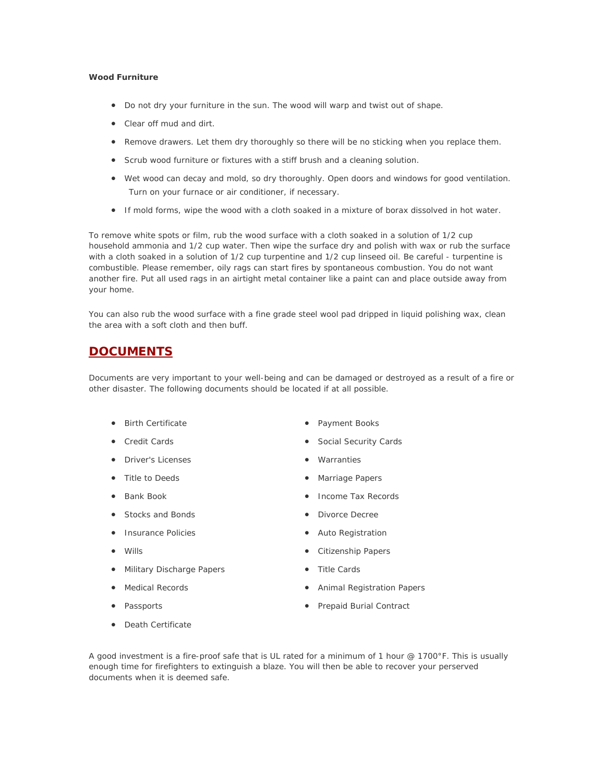# **Wood Furniture**

- Do not dry your furniture in the sun. The wood will warp and twist out of shape.
- Clear off mud and dirt.
- Remove drawers. Let them dry thoroughly so there will be no sticking when you replace them.
- Scrub wood furniture or fixtures with a stiff brush and a cleaning solution.
- Wet wood can decay and mold, so dry thoroughly. Open doors and windows for good ventilation. Turn on your furnace or air conditioner, if necessary.
- If mold forms, wipe the wood with a cloth soaked in a mixture of borax dissolved in hot water.

To remove white spots or film, rub the wood surface with a cloth soaked in a solution of 1/2 cup household ammonia and 1/2 cup water. Then wipe the surface dry and polish with wax or rub the surface with a cloth soaked in a solution of 1/2 cup turpentine and 1/2 cup linseed oil. Be careful - turpentine is combustible. Please remember, oily rags can start fires by spontaneous combustion. You do not want another fire. Put all used rags in an airtight metal container like a paint can and place outside away from your home.

You can also rub the wood surface with a fine grade steel wool pad dripped in liquid polishing wax, clean the area with a soft cloth and then buff.

# **DOCUMENTS**

Documents are very important to your well-being and can be damaged or destroyed as a result of a fire or other disaster. The following documents should be located if at all possible.

- Birth Certificate
- Credit Cards
- Driver's Licenses
- Title to Deeds
- Bank Book
- Stocks and Bonds
- Insurance Policies
- Wills
- Military Discharge Papers
- Medical Records
- Passports
- Death Certificate
- Payment Books
- Social Security Cards
- Warranties
- Marriage Papers
- Income Tax Records
- Divorce Decree
- Auto Registration
- Citizenship Papers
- Title Cards
- Animal Registration Papers
- Prepaid Burial Contract

A good investment is a fire-proof safe that is UL rated for a minimum of 1 hour @ 1700°F. This is usually enough time for firefighters to extinguish a blaze. You will then be able to recover your perserved documents when it is deemed safe.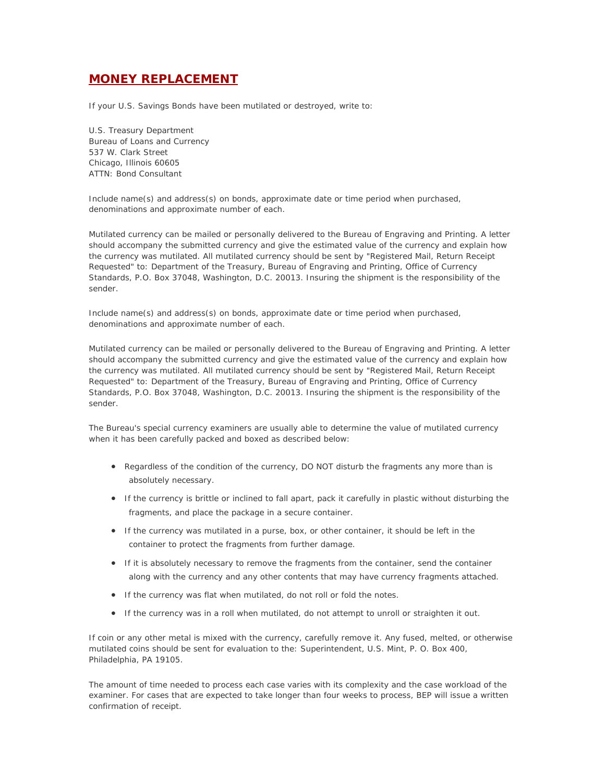# **MONEY REPLACEMENT**

If your U.S. Savings Bonds have been mutilated or destroyed, write to:

U.S. Treasury Department Bureau of Loans and Currency 537 W. Clark Street Chicago, Illinois 60605 ATTN: Bond Consultant

Include name(s) and address(s) on bonds, approximate date or time period when purchased, denominations and approximate number of each.

Mutilated currency can be mailed or personally delivered to the Bureau of Engraving and Printing. A letter should accompany the submitted currency and give the estimated value of the currency and explain how the currency was mutilated. All mutilated currency should be sent by "Registered Mail, Return Receipt Requested" to: Department of the Treasury, Bureau of Engraving and Printing, Office of Currency Standards, P.O. Box 37048, Washington, D.C. 20013. Insuring the shipment is the responsibility of the sender.

Include name(s) and address(s) on bonds, approximate date or time period when purchased, denominations and approximate number of each.

Mutilated currency can be mailed or personally delivered to the Bureau of Engraving and Printing. A letter should accompany the submitted currency and give the estimated value of the currency and explain how the currency was mutilated. All mutilated currency should be sent by "Registered Mail, Return Receipt Requested" to: Department of the Treasury, Bureau of Engraving and Printing, Office of Currency Standards, P.O. Box 37048, Washington, D.C. 20013. Insuring the shipment is the responsibility of the sender.

The Bureau's special currency examiners are usually able to determine the value of mutilated currency when it has been carefully packed and boxed as described below:

- Regardless of the condition of the currency, DO NOT disturb the fragments any more than is absolutely necessary.
- If the currency is brittle or inclined to fall apart, pack it carefully in plastic without disturbing the fragments, and place the package in a secure container.
- If the currency was mutilated in a purse, box, or other container, it should be left in the container to protect the fragments from further damage.
- If it is absolutely necessary to remove the fragments from the container, send the container along with the currency and any other contents that may have currency fragments attached.
- If the currency was flat when mutilated, do not roll or fold the notes.
- If the currency was in a roll when mutilated, do not attempt to unroll or straighten it out.

If coin or any other metal is mixed with the currency, carefully remove it. Any fused, melted, or otherwise mutilated coins should be sent for evaluation to the: Superintendent, U.S. Mint, P. O. Box 400, Philadelphia, PA 19105.

The amount of time needed to process each case varies with its complexity and the case workload of the examiner. For cases that are expected to take longer than four weeks to process, BEP will issue a written confirmation of receipt.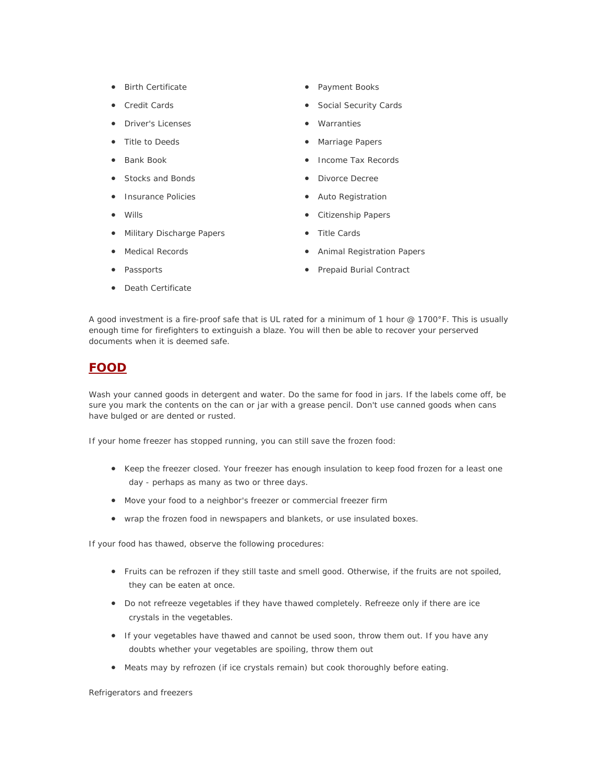- Birth Certificate
- Credit Cards
- Driver's Licenses
- Title to Deeds
- Bank Book
- Stocks and Bonds
- Insurance Policies
- Wills
- Military Discharge Papers
- Medical Records
- Passports
- Death Certificate
- Payment Books
- Social Security Cards
- **Warranties**
- Marriage Papers
- Income Tax Records
- Divorce Decree
- Auto Registration
- Citizenship Papers
- Title Cards
- Animal Registration Papers
- Prepaid Burial Contract

A good investment is a fire-proof safe that is UL rated for a minimum of 1 hour @ 1700°F. This is usually enough time for firefighters to extinguish a blaze. You will then be able to recover your perserved documents when it is deemed safe.

# **FOOD**

Wash your canned goods in detergent and water. Do the same for food in jars. If the labels come off, be sure you mark the contents on the can or jar with a grease pencil. Don't use canned goods when cans have bulged or are dented or rusted.

If your home freezer has stopped running, you can still save the frozen food:

- Keep the freezer closed. Your freezer has enough insulation to keep food frozen for a least one day - perhaps as many as two or three days.
- Move your food to a neighbor's freezer or commercial freezer firm
- wrap the frozen food in newspapers and blankets, or use insulated boxes.

If your food has thawed, observe the following procedures:

- Fruits can be refrozen if they still taste and smell good. Otherwise, if the fruits are not spoiled, they can be eaten at once.
- Do not refreeze vegetables if they have thawed completely. Refreeze only if there are ice crystals in the vegetables.
- If your vegetables have thawed and cannot be used soon, throw them out. If you have any doubts whether your vegetables are spoiling, throw them out
- Meats may by refrozen (if ice crystals remain) but cook thoroughly before eating.

Refrigerators and freezers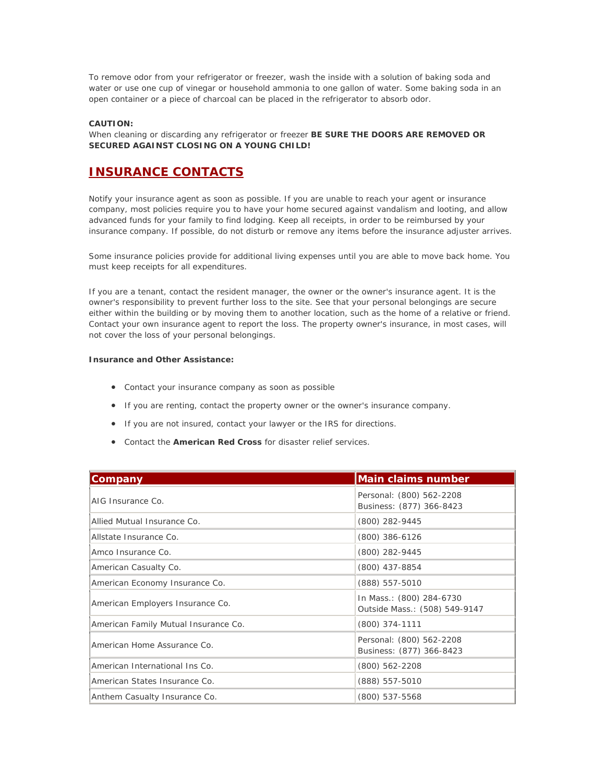To remove odor from your refrigerator or freezer, wash the inside with a solution of baking soda and water or use one cup of vinegar or household ammonia to one gallon of water. Some baking soda in an open container or a piece of charcoal can be placed in the refrigerator to absorb odor.

# **CAUTION:**

When cleaning or discarding any refrigerator or freezer **BE SURE THE DOORS ARE REMOVED OR SECURED AGAINST CLOSING ON A YOUNG CHILD!** 

# **INSURANCE CONTACTS**

Notify your insurance agent as soon as possible. If you are unable to reach your agent or insurance company, most policies require you to have your home secured against vandalism and looting, and allow advanced funds for your family to find lodging. Keep all receipts, in order to be reimbursed by your insurance company. If possible, do not disturb or remove any items before the insurance adjuster arrives.

Some insurance policies provide for additional living expenses until you are able to move back home. You must keep receipts for all expenditures.

If you are a tenant, contact the resident manager, the owner or the owner's insurance agent. It is the owner's responsibility to prevent further loss to the site. See that your personal belongings are secure either within the building or by moving them to another location, such as the home of a relative or friend. Contact your own insurance agent to report the loss. The property owner's insurance, in most cases, will not cover the loss of your personal belongings.

# **Insurance and Other Assistance:**

- Contact your insurance company as soon as possible
- If you are renting, contact the property owner or the owner's insurance company.
- If you are not insured, contact your lawyer or the IRS for directions.
- Contact the **American Red Cross** for disaster relief services.

| Company                              | <b>Main claims number</b>                                 |
|--------------------------------------|-----------------------------------------------------------|
| AIG Insurance Co.                    | Personal: (800) 562-2208<br>Business: (877) 366-8423      |
| Allied Mutual Insurance Co.          | (800) 282-9445                                            |
| Allstate Insurance Co.               | (800) 386-6126                                            |
| Amco Insurance Co.                   | (800) 282-9445                                            |
| American Casualty Co.                | (800) 437-8854                                            |
| American Economy Insurance Co.       | (888) 557-5010                                            |
| American Employers Insurance Co.     | In Mass.: (800) 284-6730<br>Outside Mass.: (508) 549-9147 |
| American Family Mutual Insurance Co. | (800) 374-1111                                            |
| American Home Assurance Co.          | Personal: (800) 562-2208<br>Business: (877) 366-8423      |
| American International Ins Co.       | (800) 562-2208                                            |
| American States Insurance Co.        | (888) 557-5010                                            |
| Anthem Casualty Insurance Co.        | (800) 537-5568                                            |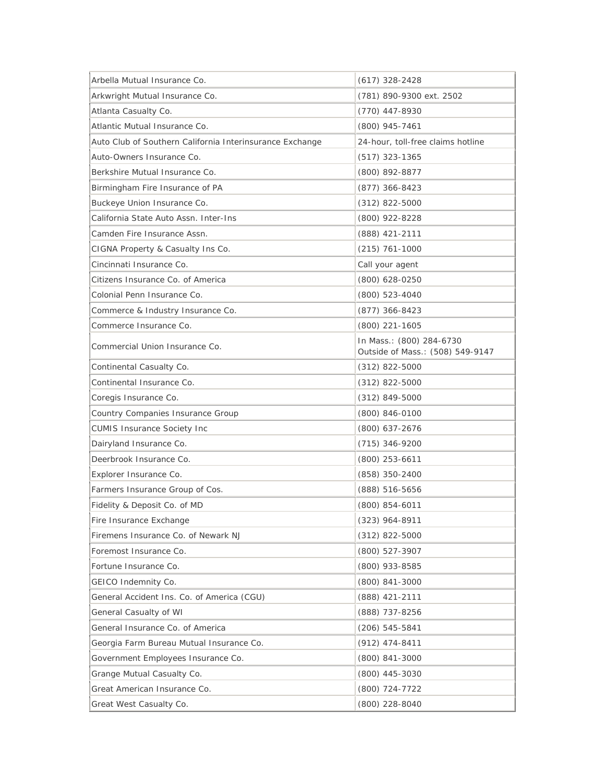| Arbella Mutual Insurance Co.                             | $(617)$ 328-2428                                             |
|----------------------------------------------------------|--------------------------------------------------------------|
| Arkwright Mutual Insurance Co.                           | (781) 890-9300 ext. 2502                                     |
| Atlanta Casualty Co.                                     | (770) 447-8930                                               |
| Atlantic Mutual Insurance Co.                            | (800) 945-7461                                               |
| Auto Club of Southern California Interinsurance Exchange | 24-hour, toll-free claims hotline                            |
| Auto-Owners Insurance Co.                                | $(517)$ 323-1365                                             |
| Berkshire Mutual Insurance Co.                           | (800) 892-8877                                               |
| Birmingham Fire Insurance of PA                          | $(877)$ 366-8423                                             |
| Buckeye Union Insurance Co.                              | $(312)$ 822-5000                                             |
| California State Auto Assn. Inter-Ins                    | (800) 922-8228                                               |
| Camden Fire Insurance Assn.                              | (888) 421-2111                                               |
| CIGNA Property & Casualty Ins Co.                        | $(215)$ 761-1000                                             |
| Cincinnati Insurance Co.                                 | Call your agent                                              |
| Citizens Insurance Co. of America                        | (800) 628-0250                                               |
| Colonial Penn Insurance Co.                              | (800) 523-4040                                               |
| Commerce & Industry Insurance Co.                        | (877) 366-8423                                               |
| Commerce Insurance Co.                                   | (800) 221-1605                                               |
| Commercial Union Insurance Co.                           | In Mass.: (800) 284-6730<br>Outside of Mass.: (508) 549-9147 |
| Continental Casualty Co.                                 | $(312)$ 822-5000                                             |
| Continental Insurance Co.                                | $(312)$ 822-5000                                             |
| Coregis Insurance Co.                                    | $(312) 849 - 5000$                                           |
| Country Companies Insurance Group                        | (800) 846-0100                                               |
| <b>CUMIS Insurance Society Inc</b>                       | (800) 637-2676                                               |
| Dairyland Insurance Co.                                  | $(715)$ 346-9200                                             |
| Deerbrook Insurance Co.                                  | $(800)$ 253-6611                                             |
| Explorer Insurance Co.                                   | (858) 350-2400                                               |
| Farmers Insurance Group of Cos.                          | (888) 516-5656                                               |
| Fidelity & Deposit Co. of MD                             | (800) 854-6011                                               |
| Fire Insurance Exchange                                  | $(323)$ 964-8911                                             |
| Firemens Insurance Co. of Newark NJ                      | $(312)$ 822-5000                                             |
| Foremost Insurance Co.                                   | (800) 527-3907                                               |
| Fortune Insurance Co.                                    | (800) 933-8585                                               |
| GEICO Indemnity Co.                                      | $(800)$ 841-3000                                             |
| General Accident Ins. Co. of America (CGU)               | (888) 421-2111                                               |
| General Casualty of WI                                   | (888) 737-8256                                               |
| General Insurance Co. of America                         | $(206) 545 - 5841$                                           |
| Georgia Farm Bureau Mutual Insurance Co.                 | (912) 474-8411                                               |
| Government Employees Insurance Co.                       | (800) 841-3000                                               |
| Grange Mutual Casualty Co.                               | $(800)$ 445-3030                                             |
| Great American Insurance Co.                             | (800) 724-7722                                               |
| Great West Casualty Co.                                  | (800) 228-8040                                               |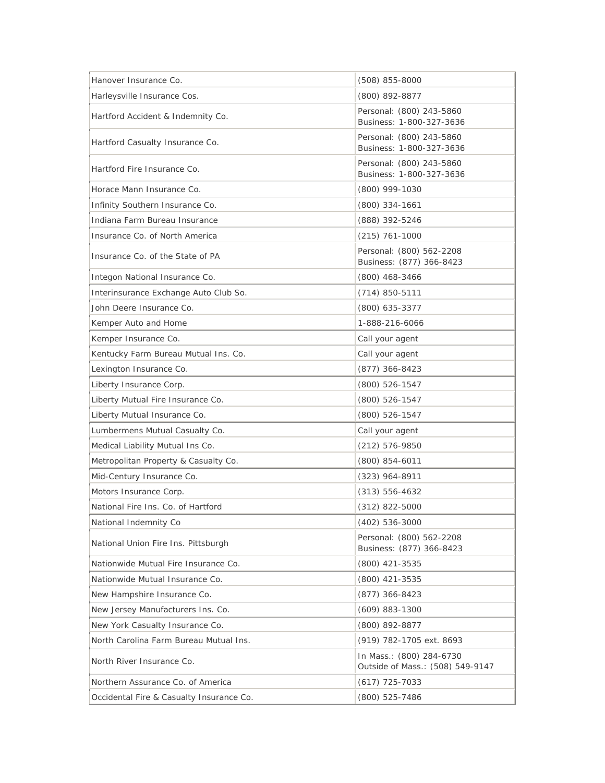| Hanover Insurance Co.                    | $(508)$ 855-8000                                             |
|------------------------------------------|--------------------------------------------------------------|
| Harleysville Insurance Cos.              | (800) 892-8877                                               |
| Hartford Accident & Indemnity Co.        | Personal: (800) 243-5860<br>Business: 1-800-327-3636         |
| Hartford Casualty Insurance Co.          | Personal: (800) 243-5860<br>Business: 1-800-327-3636         |
| Hartford Fire Insurance Co.              | Personal: (800) 243-5860<br>Business: 1-800-327-3636         |
| Horace Mann Insurance Co.                | (800) 999-1030                                               |
| Infinity Southern Insurance Co.          | $(800)$ 334-1661                                             |
| Indiana Farm Bureau Insurance            | (888) 392-5246                                               |
| Insurance Co. of North America           | $(215)$ 761-1000                                             |
| Insurance Co. of the State of PA         | Personal: (800) 562-2208<br>Business: (877) 366-8423         |
| Integon National Insurance Co.           | $(800)$ 468-3466                                             |
| Interinsurance Exchange Auto Club So.    | $(714) 850 - 5111$                                           |
| John Deere Insurance Co.                 | (800) 635-3377                                               |
| Kemper Auto and Home                     | 1-888-216-6066                                               |
| Kemper Insurance Co.                     | Call your agent                                              |
| Kentucky Farm Bureau Mutual Ins. Co.     | Call your agent                                              |
| Lexington Insurance Co.                  | $(877)$ 366-8423                                             |
| Liberty Insurance Corp.                  | (800) 526-1547                                               |
| Liberty Mutual Fire Insurance Co.        | $(800)$ 526-1547                                             |
| Liberty Mutual Insurance Co.             | (800) 526-1547                                               |
| Lumbermens Mutual Casualty Co.           | Call your agent                                              |
| Medical Liability Mutual Ins Co.         | $(212) 576 - 9850$                                           |
| Metropolitan Property & Casualty Co.     | $(800)$ 854-6011                                             |
| Mid-Century Insurance Co.                | $(323)$ 964-8911                                             |
| Motors Insurance Corp.                   | $(313) 556 - 4632$                                           |
| National Fire Ins. Co. of Hartford       | $(312)$ 822-5000                                             |
| National Indemnity Co                    | $(402)$ 536-3000                                             |
| National Union Fire Ins. Pittsburgh      | Personal: (800) 562-2208<br>Business: (877) 366-8423         |
| Nationwide Mutual Fire Insurance Co.     | (800) 421-3535                                               |
| Nationwide Mutual Insurance Co.          | (800) 421-3535                                               |
| New Hampshire Insurance Co.              | $(877)$ 366-8423                                             |
| New Jersey Manufacturers Ins. Co.        | $(609)$ 883-1300                                             |
| New York Casualty Insurance Co.          | (800) 892-8877                                               |
| North Carolina Farm Bureau Mutual Ins.   | (919) 782-1705 ext. 8693                                     |
| North River Insurance Co.                | In Mass.: (800) 284-6730<br>Outside of Mass.: (508) 549-9147 |
| Northern Assurance Co. of America        | $(617)$ 725-7033                                             |
| Occidental Fire & Casualty Insurance Co. | (800) 525-7486                                               |